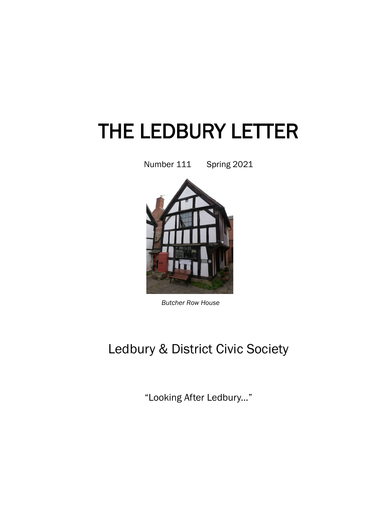# THE LEDBURY LETTER

Number 111 Spring 2021



*Butcher Row House* 

# Ledbury & District Civic Society

"Looking After Ledbury..."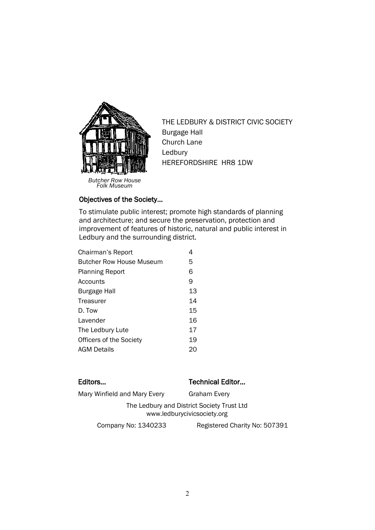

THE LEDBURY & DISTRICT CIVIC SOCIETY Burgage Hall Church Lane Ledbury HEREFORDSHIRE HR8 1DW

#### Objectives of the Society…

To stimulate public interest; promote high standards of planning and architecture; and secure the preservation, protection and improvement of features of historic, natural and public interest in Ledbury and the surrounding district.

| Chairman's Report              |    |
|--------------------------------|----|
| Butcher Row House Museum       | 5  |
| <b>Planning Report</b>         | 6  |
| Accounts                       | 9  |
| <b>Burgage Hall</b>            | 13 |
| Treasurer                      | 14 |
| D. Tow                         | 15 |
| Lavender                       | 16 |
| The Ledbury Lute               | 17 |
| <b>Officers of the Society</b> | 19 |
| <b>AGM Details</b>             | 20 |

#### Editors... **Editors...** Technical Editor...

Mary Winfield and Mary Every Graham Every

The Ledbury and District Society Trust Ltd www.ledburycivicsociety.org

Company No: 1340233 Registered Charity No: 507391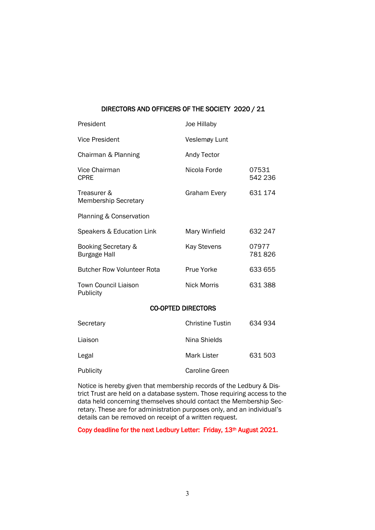#### DIRECTORS AND OFFICERS OF THE SOCIETY 2020 / 21

| President                                  | Joe Hillaby               |                  |
|--------------------------------------------|---------------------------|------------------|
| <b>Vice President</b>                      | Veslemøy Lunt             |                  |
| Chairman & Planning                        | Andy Tector               |                  |
| Vice Chairman<br><b>CPRE</b>               | Nicola Forde              | 07531<br>542 236 |
| Treasurer &<br><b>Membership Secretary</b> | Graham Every              | 631 174          |
| Planning & Conservation                    |                           |                  |
| Speakers & Education Link                  | Mary Winfield             | 632 247          |
| Booking Secretary &<br><b>Burgage Hall</b> | <b>Kay Stevens</b>        | 07977<br>781826  |
| <b>Butcher Row Volunteer Rota</b>          | Prue Yorke                | 633 655          |
| <b>Town Council Liaison</b><br>Publicity   | <b>Nick Morris</b>        | 631 388          |
|                                            | <b>CO-OPTED DIRECTORS</b> |                  |
| Secretary                                  | <b>Christine Tustin</b>   | 634934           |
| Liaison                                    | Nina Shields              |                  |
| Legal                                      | <b>Mark Lister</b>        | 631503           |
|                                            |                           |                  |

Publicity **Caroline Green** Notice is hereby given that membership records of the Ledbury & District Trust are held on a database system. Those requiring access to the

data held concerning themselves should contact the Membership Secretary. These are for administration purposes only, and an individual's details can be removed on receipt of a written request.

Copy deadline for the next Ledbury Letter: Friday, 13<sup>th</sup> August 2021.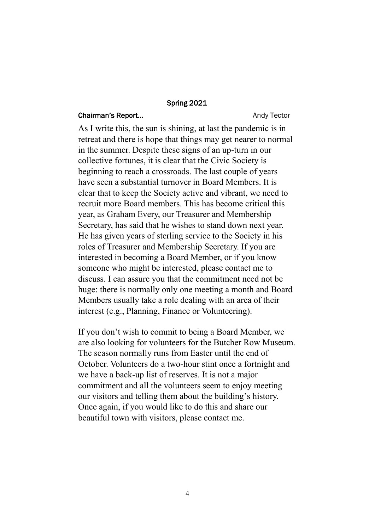#### Spring 2021

#### Chairman's Report... **Andy Tector** Andy Tector

As I write this, the sun is shining, at last the pandemic is in retreat and there is hope that things may get nearer to normal in the summer. Despite these signs of an up-turn in our collective fortunes, it is clear that the Civic Society is beginning to reach a crossroads. The last couple of years have seen a substantial turnover in Board Members. It is clear that to keep the Society active and vibrant, we need to recruit more Board members. This has become critical this year, as Graham Every, our Treasurer and Membership Secretary, has said that he wishes to stand down next year. He has given years of sterling service to the Society in his roles of Treasurer and Membership Secretary. If you are interested in becoming a Board Member, or if you know someone who might be interested, please contact me to discuss. I can assure you that the commitment need not be huge: there is normally only one meeting a month and Board Members usually take a role dealing with an area of their interest (e.g., Planning, Finance or Volunteering).

If you don't wish to commit to being a Board Member, we are also looking for volunteers for the Butcher Row Museum. The season normally runs from Easter until the end of October. Volunteers do a two-hour stint once a fortnight and we have a back-up list of reserves. It is not a major commitment and all the volunteers seem to enjoy meeting our visitors and telling them about the building's history. Once again, if you would like to do this and share our beautiful town with visitors, please contact me.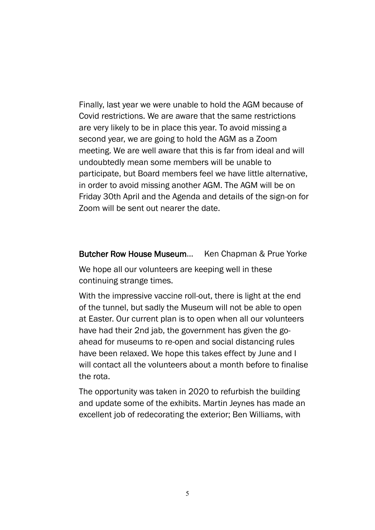Finally, last year we were unable to hold the AGM because of Covid restrictions. We are aware that the same restrictions are very likely to be in place this year. To avoid missing a second year, we are going to hold the AGM as a Zoom meeting. We are well aware that this is far from ideal and will undoubtedly mean some members will be unable to participate, but Board members feel we have little alternative, in order to avoid missing another AGM. The AGM will be on Friday 30th April and the Agenda and details of the sign-on for Zoom will be sent out nearer the date.

#### Butcher Row House Museum… Ken Chapman & Prue Yorke

We hope all our volunteers are keeping well in these continuing strange times.

With the impressive vaccine roll-out, there is light at the end of the tunnel, but sadly the Museum will not be able to open at Easter. Our current plan is to open when all our volunteers have had their 2nd jab, the government has given the goahead for museums to re-open and social distancing rules have been relaxed. We hope this takes effect by June and I will contact all the volunteers about a month before to finalise the rota.

The opportunity was taken in 2020 to refurbish the building and update some of the exhibits. Martin Jeynes has made an excellent job of redecorating the exterior; Ben Williams, with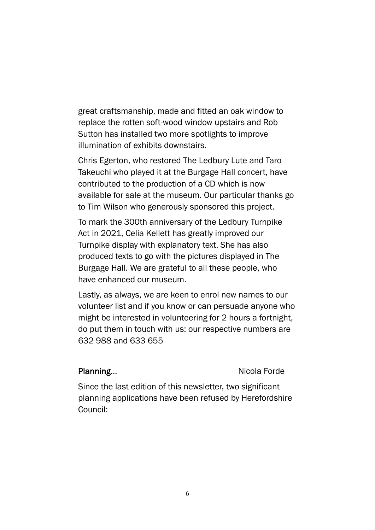great craftsmanship, made and fitted an oak window to replace the rotten soft-wood window upstairs and Rob Sutton has installed two more spotlights to improve illumination of exhibits downstairs.

Chris Egerton, who restored The Ledbury Lute and Taro Takeuchi who played it at the Burgage Hall concert, have contributed to the production of a CD which is now available for sale at the museum. Our particular thanks go to Tim Wilson who generously sponsored this project.

To mark the 300th anniversary of the Ledbury Turnpike Act in 2021, Celia Kellett has greatly improved our Turnpike display with explanatory text. She has also produced texts to go with the pictures displayed in The Burgage Hall. We are grateful to all these people, who have enhanced our museum.

Lastly, as always, we are keen to enrol new names to our volunteer list and if you know or can persuade anyone who might be interested in volunteering for 2 hours a fortnight, do put them in touch with us: our respective numbers are 632 988 and 633 655

#### Planning... Nicola Forde

Since the last edition of this newsletter, two significant planning applications have been refused by Herefordshire Council: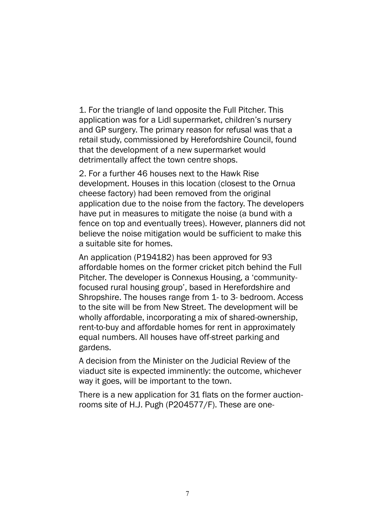1. For the triangle of land opposite the Full Pitcher. This application was for a Lidl supermarket, children's nursery and GP surgery. The primary reason for refusal was that a retail study, commissioned by Herefordshire Council, found that the development of a new supermarket would detrimentally affect the town centre shops.

2. For a further 46 houses next to the Hawk Rise development. Houses in this location (closest to the Ornua cheese factory) had been removed from the original application due to the noise from the factory. The developers have put in measures to mitigate the noise (a bund with a fence on top and eventually trees). However, planners did not believe the noise mitigation would be sufficient to make this a suitable site for homes.

An application (P194182) has been approved for 93 affordable homes on the former cricket pitch behind the Full Pitcher. The developer is Connexus Housing, a 'communityfocused rural housing group', based in Herefordshire and Shropshire. The houses range from 1- to 3- bedroom. Access to the site will be from New Street. The development will be wholly affordable, incorporating a mix of shared-ownership, rent-to-buy and affordable homes for rent in approximately equal numbers. All houses have off-street parking and gardens.

A decision from the Minister on the Judicial Review of the viaduct site is expected imminently: the outcome, whichever way it goes, will be important to the town.

There is a new application for 31 flats on the former auctionrooms site of H.J. Pugh (P204577/F). These are one-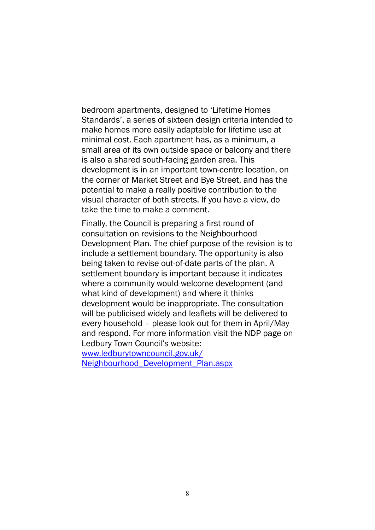bedroom apartments, designed to 'Lifetime Homes Standards', a series of sixteen design criteria intended to make homes more easily adaptable for lifetime use at minimal cost. Each apartment has, as a minimum, a small area of its own outside space or balcony and there is also a shared south-facing garden area. This development is in an important town-centre location, on the corner of Market Street and Bye Street, and has the potential to make a really positive contribution to the visual character of both streets. If you have a view, do take the time to make a comment.

Finally, the Council is preparing a first round of consultation on revisions to the Neighbourhood Development Plan. The chief purpose of the revision is to include a settlement boundary. The opportunity is also being taken to revise out-of-date parts of the plan. A settlement boundary is important because it indicates where a community would welcome development (and what kind of development) and where it thinks development would be inappropriate. The consultation will be publicised widely and leaflets will be delivered to every household – please look out for them in April/May and respond. For more information visit the NDP page on Ledbury Town Council's website:

www.ledburytowncouncil.gov.uk/

Neighbourhood\_Development\_Plan.aspx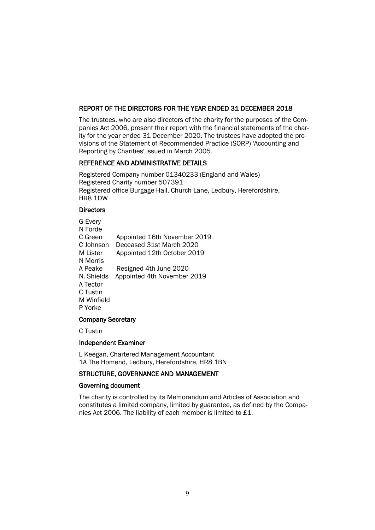#### REPORT OF THE DIRECTORS FOR THE YEAR ENDED 31 DECEMBER 2018

The trustees, who are also directors of the charity for the purposes of the Companies Act 2006, present their report with the financial statements of the charity for the year ended 31 December 2020. The trustees have adopted the provisions of the Statement of Recommended Practice (SORP) 'Accounting and Reporting by Charities' issued in March 2005.

#### REFERENCE AND ADMINISTRATIVE DETAILS

Registered Company number 01340233 (England and Wales) Registered Charity number 507391 Registered office Burgage Hall, Church Lane, Ledbury, Herefordshire, HR8 1DW

#### **Directors**

| G Every    |                              |
|------------|------------------------------|
| N Forde    |                              |
| C Green    | Appointed 16th November 2019 |
| C Johnson  | Deceased 31st March 2020     |
| M Lister   | Appointed 12th October 2019  |
| N Morris   |                              |
| A Peake    | Resigned 4th June 2020       |
| N. Shields | Appointed 4th November 2019  |
| A Tector   |                              |
| C Tustin   |                              |
| M Winfield |                              |
| P Yorke    |                              |
|            |                              |

#### Company Secretary

C Tustin

#### Independent Examiner

L Keegan, Chartered Management Accountant 1A The Homend, Ledbury, Herefordshire, HR8 1BN

#### STRUCTURE, GOVERNANCE AND MANAGEMENT

#### Governing document

The charity is controlled by its Memorandum and Articles of Association and constitutes a limited company, limited by guarantee, as defined by the Companies Act 2006. The liability of each member is limited to £1.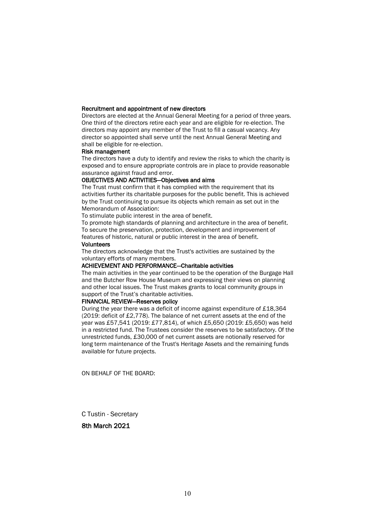#### Recruitment and appointment of new directors

Directors are elected at the Annual General Meeting for a period of three years. One third of the directors retire each year and are eligible for re-election. The directors may appoint any member of the Trust to fill a casual vacancy. Any director so appointed shall serve until the next Annual General Meeting and shall be eligible for re-election.

#### Risk management

The directors have a duty to identify and review the risks to which the charity is exposed and to ensure appropriate controls are in place to provide reasonable assurance against fraud and error.

#### OBJECTIVES AND ACTIVITIES—Objectives and aims

The Trust must confirm that it has complied with the requirement that its activities further its charitable purposes for the public benefit. This is achieved by the Trust continuing to pursue its objects which remain as set out in the Memorandum of Association:

To stimulate public interest in the area of benefit.

To promote high standards of planning and architecture in the area of benefit. To secure the preservation, protection, development and improvement of features of historic, natural or public interest in the area of benefit.

#### Volunteers

The directors acknowledge that the Trust's activities are sustained by the voluntary efforts of many members.

#### ACHIEVEMENT AND PERFORMANCE—Charitable activities

The main activities in the year continued to be the operation of the Burgage Hall and the Butcher Row House Museum and expressing their views on planning and other local issues. The Trust makes grants to local community groups in support of the Trust's charitable activities.

#### FINANCIAL REVIEW—Reserves policy

During the year there was a deficit of income against expenditure of £18,364 (2019: deficit of £2,778). The balance of net current assets at the end of the year was £57,541 (2019: £77,814), of which £5,650 (2019: £5,650) was held in a restricted fund. The Trustees consider the reserves to be satisfactory. Of the unrestricted funds, £30,000 of net current assets are notionally reserved for long term maintenance of the Trust's Heritage Assets and the remaining funds available for future projects.

ON BEHALF OF THE BOARD:

C Tustin - Secretary

#### 8th March 2021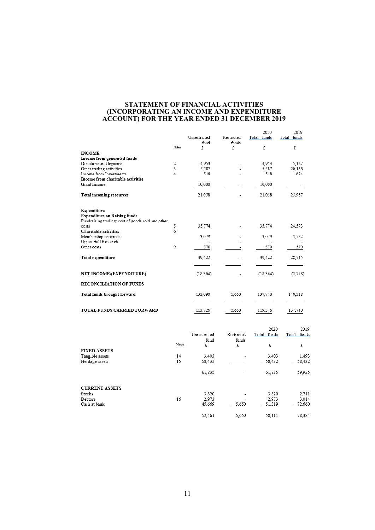#### **STATEMENT OF FINANCIAL ACTIVITIES (INCORPORATING AN INCOME AND EXPENDITURE ACCOUNT) FOR THE YEAR ENDED 31 DECEMBER 2019**

|                                                                                                         | Notes. | Unrestricted<br>fund<br>£ | Restricted<br>funds<br>£ | 2020<br>Total funds<br>£ | 2019<br>Total funds<br>£ |
|---------------------------------------------------------------------------------------------------------|--------|---------------------------|--------------------------|--------------------------|--------------------------|
| <b>INCOME</b>                                                                                           |        |                           |                          |                          |                          |
| Income from generated funds                                                                             |        |                           |                          |                          |                          |
| Donations and legacies                                                                                  | 2      | 4,953                     |                          | 4,953                    | 5,127                    |
| Other trading activities                                                                                | 3<br>4 | 5,587                     |                          | 5,587                    | 20,166                   |
| Income from Investments                                                                                 |        | 518                       |                          | 518                      | 674                      |
| Income from charitable activities                                                                       |        |                           |                          |                          |                          |
| Grant Income                                                                                            |        | 10,000                    |                          | 10,000                   |                          |
| <b>Total incoming resources</b>                                                                         |        | 21,058                    |                          | 21,058                   | 25,967                   |
| Expenditure<br><b>Expenditure on Raising funds</b><br>Fundraising trading: cost of goods sold and other |        |                           |                          |                          |                          |
| costs                                                                                                   | 5      | 35,774                    |                          | 35,774                   | 24,593                   |
| Charitable activities                                                                                   | 6      |                           |                          |                          |                          |
| Membership activities                                                                                   |        | 3,079                     |                          | 3,079                    | 3,582                    |
| Upper Hall Research                                                                                     |        |                           |                          |                          |                          |
| Other costs                                                                                             | 9      | 570                       |                          | 570                      | 570                      |
| Total expenditure                                                                                       |        | 39,422                    |                          | 39,422                   | 28,745                   |
| NET INCOME/(EXPENDITURE)                                                                                |        | (18, 364)                 |                          | (18, 364)                | (2,778)                  |
| <b>RECONCILIATION OF FUNDS</b>                                                                          |        |                           |                          |                          |                          |
| Total funds brought forward                                                                             |        | 132,090                   | 5.650                    | 137,740                  | 140,518                  |
| TOTAL FUNDS CARRIED FORWARD                                                                             |        | 113,726                   | 5,650                    | 119,376                  | 137,740                  |

|                       | Notes | Unrestricted<br>fund<br>£ | Restricted<br>funds<br>£     | 2020<br>Total funds<br>£ | 2019<br>Total funds<br>£ |
|-----------------------|-------|---------------------------|------------------------------|--------------------------|--------------------------|
| <b>FIXED ASSETS</b>   |       |                           |                              |                          |                          |
| Tangible assets       | 14    | 3,403                     | $\overline{\phantom{a}}$     | 3,403                    | 1,493                    |
| Heritage assets       | 15    | 58,432                    |                              | 58,432                   | 58,432                   |
|                       |       | 61,835                    | $\qquad \qquad \blacksquare$ | 61,835                   | 59,925                   |
| <b>CURRENT ASSETS</b> |       |                           |                              |                          |                          |
| Stocks                |       | 3,820                     | ۰                            | 3,820                    | 2,711                    |
| Debtors               | 16    | 2,973                     | -                            | 2,973                    | 3,014                    |
| Cash at bank          |       | 45,669                    | 5,650                        | 51,319                   | 72,660                   |
|                       |       | 52,461                    | 5,650                        | 58,111                   | 78,384                   |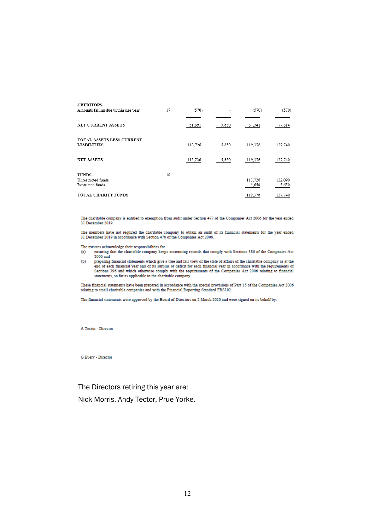| <b>CREDITORS</b>                    |    |         |       |         |         |
|-------------------------------------|----|---------|-------|---------|---------|
| Amounts falling due within one year | 17 | (570)   |       | (570)   | (570)   |
|                                     |    |         |       |         |         |
| NET CURRENT ASSETS                  |    | 51,891  | 5,650 | 57,541  | 77,814  |
| <b>TOTAL ASSETS LESS CURRENT</b>    |    |         |       |         |         |
| <b>LIABILITIES</b>                  |    | 113,726 | 5,650 | 119,376 | 137,740 |
|                                     |    |         |       |         |         |
| <b>NET ASSETS</b>                   |    | 113,726 | 5,650 | 119,376 | 137,740 |
| <b>FUNDS</b>                        | 18 |         |       |         |         |
| Unrestricted funds                  |    |         |       | 113,726 | 132,090 |
| Restricted funds                    |    |         |       | 5,650   | 5,650   |
| TOTAL CHARITY FUNDS                 |    |         |       | 119,376 | 137,740 |

The charitable company is entitled to exemption from audit under Section 477 of the Companies Act 2006 for the year ended 31 December 2019.

The members have not required the charitable company to obtain an audit of its financial statements for the year ended 31 December 2019 in accordance with Section 476 of the Companies Act 2006.

#### The trustees acknowledge their responsibilities for

- ensuring that the charitable company keeps accounting records that comply with Sections 386 of the Companies Act  $(a)$ 2006 and
- 2000 and<br>preparing financial statements which give a true and fair view of the state of affairs of the charitable company as at the<br>end of each financial year and of its surplus or deficit for each financial year in accord  $(b)$ statements, so far as applicable to the charitable company.

These financial statements have been prepared in accordance with the special provisions of Part 15 of the Companies Act 2006 relating to small charitable companies and with the Financial Reporting Standard FRS102.

The financial statements were approved by the Board of Directors on 2 March 2020 and were signed on its behalf by:

A Tector - Director

G Every - Director

The Directors retiring this year are: Nick Morris, Andy Tector, Prue Yorke.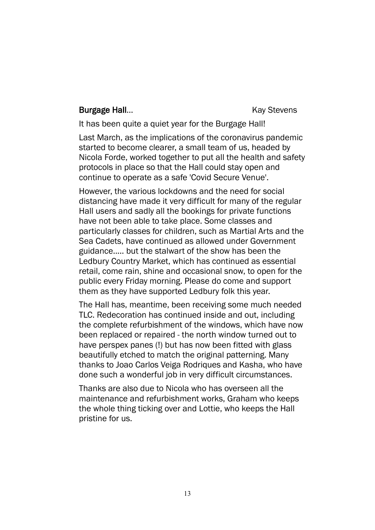### **Burgage Hall...** Burgage Hall...

It has been quite a quiet year for the Burgage Hall!

Last March, as the implications of the coronavirus pandemic started to become clearer, a small team of us, headed by Nicola Forde, worked together to put all the health and safety protocols in place so that the Hall could stay open and continue to operate as a safe 'Covid Secure Venue'.

However, the various lockdowns and the need for social distancing have made it very difficult for many of the regular Hall users and sadly all the bookings for private functions have not been able to take place. Some classes and particularly classes for children, such as Martial Arts and the Sea Cadets, have continued as allowed under Government guidance..... but the stalwart of the show has been the Ledbury Country Market, which has continued as essential retail, come rain, shine and occasional snow, to open for the public every Friday morning. Please do come and support them as they have supported Ledbury folk this year.

The Hall has, meantime, been receiving some much needed TLC. Redecoration has continued inside and out, including the complete refurbishment of the windows, which have now been replaced or repaired - the north window turned out to have perspex panes (!) but has now been fitted with glass beautifully etched to match the original patterning. Many thanks to Joao Carlos Veiga Rodriques and Kasha, who have done such a wonderful job in very difficult circumstances.

Thanks are also due to Nicola who has overseen all the maintenance and refurbishment works, Graham who keeps the whole thing ticking over and Lottie, who keeps the Hall pristine for us.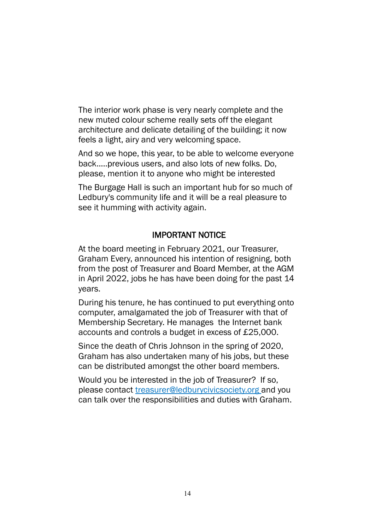The interior work phase is very nearly complete and the new muted colour scheme really sets off the elegant architecture and delicate detailing of the building; it now feels a light, airy and very welcoming space.

And so we hope, this year, to be able to welcome everyone back.....previous users, and also lots of new folks. Do, please, mention it to anyone who might be interested

The Burgage Hall is such an important hub for so much of Ledbury's community life and it will be a real pleasure to see it humming with activity again.

## IMPORTANT NOTICE

At the board meeting in February 2021, our Treasurer, Graham Every, announced his intention of resigning, both from the post of Treasurer and Board Member, at the AGM in April 2022, jobs he has have been doing for the past 14 years.

During his tenure, he has continued to put everything onto computer, amalgamated the job of Treasurer with that of Membership Secretary. He manages the Internet bank accounts and controls a budget in excess of £25,000.

Since the death of Chris Johnson in the spring of 2020, Graham has also undertaken many of his jobs, but these can be distributed amongst the other board members.

Would you be interested in the job of Treasurer? If so, please contact treasurer@ledburycivicsociety.org and you can talk over the responsibilities and duties with Graham.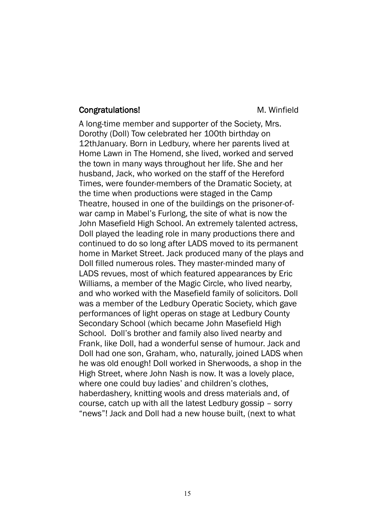#### **Congratulations!** M. Winfield

A long-time member and supporter of the Society, Mrs. Dorothy (Doll) Tow celebrated her 100th birthday on 12thJanuary. Born in Ledbury, where her parents lived at Home Lawn in The Homend, she lived, worked and served the town in many ways throughout her life. She and her husband, Jack, who worked on the staff of the Hereford Times, were founder-members of the Dramatic Society, at the time when productions were staged in the Camp Theatre, housed in one of the buildings on the prisoner-ofwar camp in Mabel's Furlong, the site of what is now the John Masefield High School. An extremely talented actress, Doll played the leading role in many productions there and continued to do so long after LADS moved to its permanent home in Market Street. Jack produced many of the plays and Doll filled numerous roles. They master-minded many of LADS revues, most of which featured appearances by Eric Williams, a member of the Magic Circle, who lived nearby, and who worked with the Masefield family of solicitors. Doll was a member of the Ledbury Operatic Society, which gave performances of light operas on stage at Ledbury County Secondary School (which became John Masefield High School. Doll's brother and family also lived nearby and Frank, like Doll, had a wonderful sense of humour. Jack and Doll had one son, Graham, who, naturally, joined LADS when he was old enough! Doll worked in Sherwoods, a shop in the High Street, where John Nash is now. It was a lovely place, where one could buy ladies' and children's clothes, haberdashery, knitting wools and dress materials and, of course, catch up with all the latest Ledbury gossip – sorry "news"! Jack and Doll had a new house built, (next to what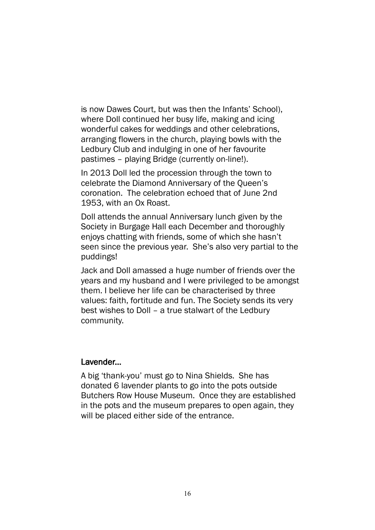is now Dawes Court, but was then the Infants' School), where Doll continued her busy life, making and icing wonderful cakes for weddings and other celebrations, arranging flowers in the church, playing bowls with the Ledbury Club and indulging in one of her favourite pastimes – playing Bridge (currently on-line!).

In 2013 Doll led the procession through the town to celebrate the Diamond Anniversary of the Queen's coronation. The celebration echoed that of June 2nd 1953, with an Ox Roast.

Doll attends the annual Anniversary lunch given by the Society in Burgage Hall each December and thoroughly enjoys chatting with friends, some of which she hasn't seen since the previous year. She's also very partial to the puddings!

Jack and Doll amassed a huge number of friends over the years and my husband and I were privileged to be amongst them. I believe her life can be characterised by three values: faith, fortitude and fun. The Society sends its very best wishes to Doll – a true stalwart of the Ledbury community.

#### Lavender...

A big 'thank-you' must go to Nina Shields. She has donated 6 lavender plants to go into the pots outside Butchers Row House Museum. Once they are established in the pots and the museum prepares to open again, they will be placed either side of the entrance.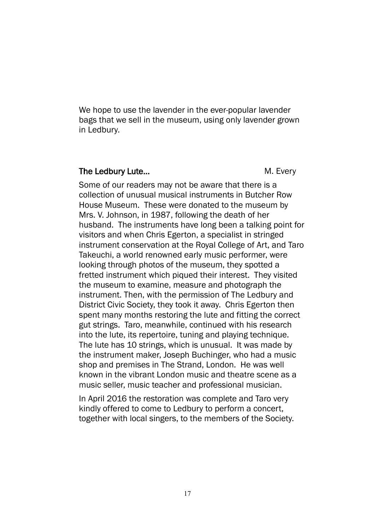We hope to use the lavender in the ever-popular lavender bags that we sell in the museum, using only lavender grown in Ledbury.

#### The Ledbury Lute... The Ledbury Lute...

Some of our readers may not be aware that there is a collection of unusual musical instruments in Butcher Row House Museum. These were donated to the museum by Mrs. V. Johnson, in 1987, following the death of her husband. The instruments have long been a talking point for visitors and when Chris Egerton, a specialist in stringed instrument conservation at the Royal College of Art, and Taro Takeuchi, a world renowned early music performer, were looking through photos of the museum, they spotted a fretted instrument which piqued their interest. They visited the museum to examine, measure and photograph the instrument. Then, with the permission of The Ledbury and District Civic Society, they took it away. Chris Egerton then spent many months restoring the lute and fitting the correct gut strings. Taro, meanwhile, continued with his research into the lute, its repertoire, tuning and playing technique. The lute has 10 strings, which is unusual. It was made by the instrument maker, Joseph Buchinger, who had a music shop and premises in The Strand, London. He was well known in the vibrant London music and theatre scene as a music seller, music teacher and professional musician.

In April 2016 the restoration was complete and Taro very kindly offered to come to Ledbury to perform a concert, together with local singers, to the members of the Society.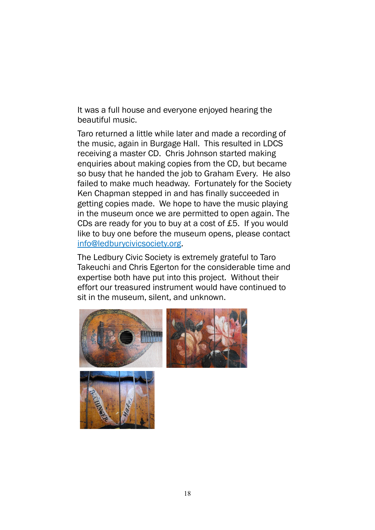It was a full house and everyone enjoyed hearing the beautiful music.

Taro returned a little while later and made a recording of the music, again in Burgage Hall. This resulted in LDCS receiving a master CD. Chris Johnson started making enquiries about making copies from the CD, but became so busy that he handed the job to Graham Every. He also failed to make much headway. Fortunately for the Society Ken Chapman stepped in and has finally succeeded in getting copies made. We hope to have the music playing in the museum once we are permitted to open again. The CDs are ready for you to buy at a cost of £5. If you would like to buy one before the museum opens, please contact info@ledburycivicsociety.org.

The Ledbury Civic Society is extremely grateful to Taro Takeuchi and Chris Egerton for the considerable time and expertise both have put into this project. Without their effort our treasured instrument would have continued to sit in the museum, silent, and unknown.



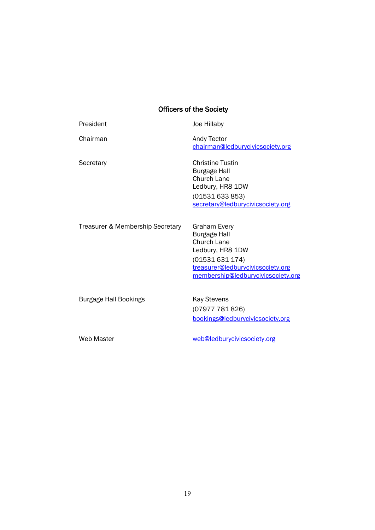## Officers of the Society

| President                        | Joe Hillaby                                                                                                                                                        |
|----------------------------------|--------------------------------------------------------------------------------------------------------------------------------------------------------------------|
| Chairman                         | Andy Tector<br>chairman@ledburycivicsociety.org                                                                                                                    |
| Secretary                        | <b>Christine Tustin</b><br><b>Burgage Hall</b><br>Church Lane<br>Ledbury, HR8 1DW<br>(01531633853)<br>secretary@ledburycivicsociety.org                            |
| Treasurer & Membership Secretary | Graham Every<br><b>Burgage Hall</b><br>Church Lane<br>Ledbury, HR8 1DW<br>(01531631174)<br>treasurer@ledburycivicsociety.org<br>membership@ledburycivicsociety.org |
| <b>Burgage Hall Bookings</b>     | <b>Kay Stevens</b><br>(07977 781 826)<br>bookings@ledburycivicsociety.org                                                                                          |
| Web Master                       | web@ledburycivicsociety.org                                                                                                                                        |